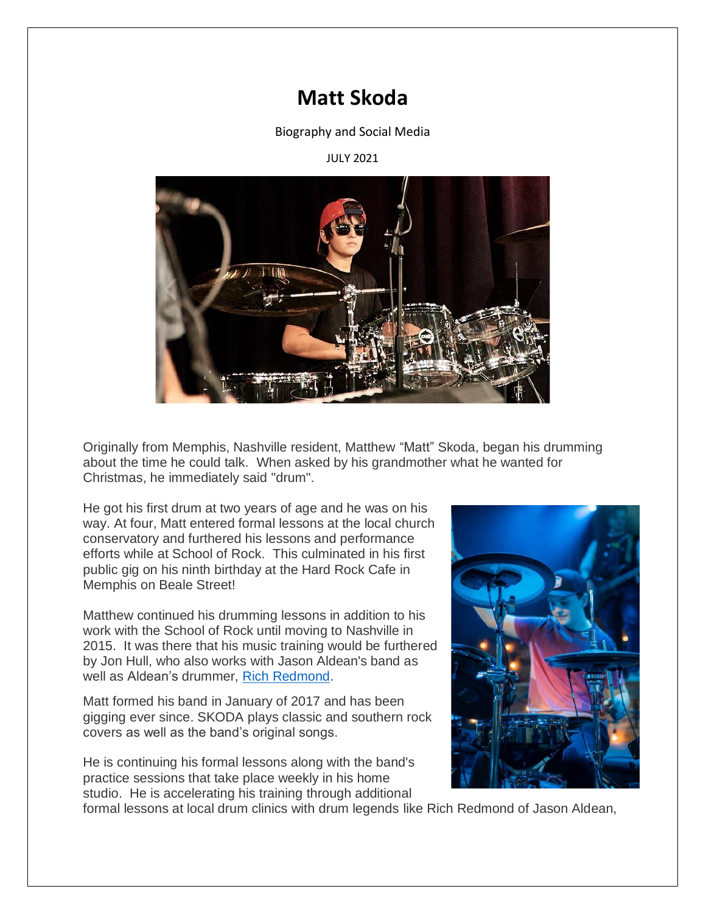## **Matt Skoda**

Biography and Social Media

## JULY 2021



Originally from Memphis, Nashville resident, Matthew "Matt" Skoda, began his drumming about the time he could talk. When asked by his grandmother what he wanted for Christmas, he immediately said "drum".

He got his first drum at two years of age and he was on his way. At four, Matt entered formal lessons at the local church conservatory and furthered his lessons and performance efforts while at School of Rock. This culminated in his first public gig on his ninth birthday at the Hard Rock Cafe in Memphis on Beale Street!

Matthew continued his drumming lessons in addition to his work with the School of Rock until moving to Nashville in 2015. It was there that his music training would be furthered by Jon Hull, who also works with Jason Aldean's band as well as Aldean's drummer, [Rich Redmond.](https://richredmond.com/)

Matt formed his band in January of 2017 and has been gigging ever since. SKODA plays classic and southern rock covers as well as the band's original songs.

He is continuing his formal lessons along with the band's practice sessions that take place weekly in his home studio. He is accelerating his training through additional



formal lessons at local drum clinics with drum legends like Rich Redmond of Jason Aldean,